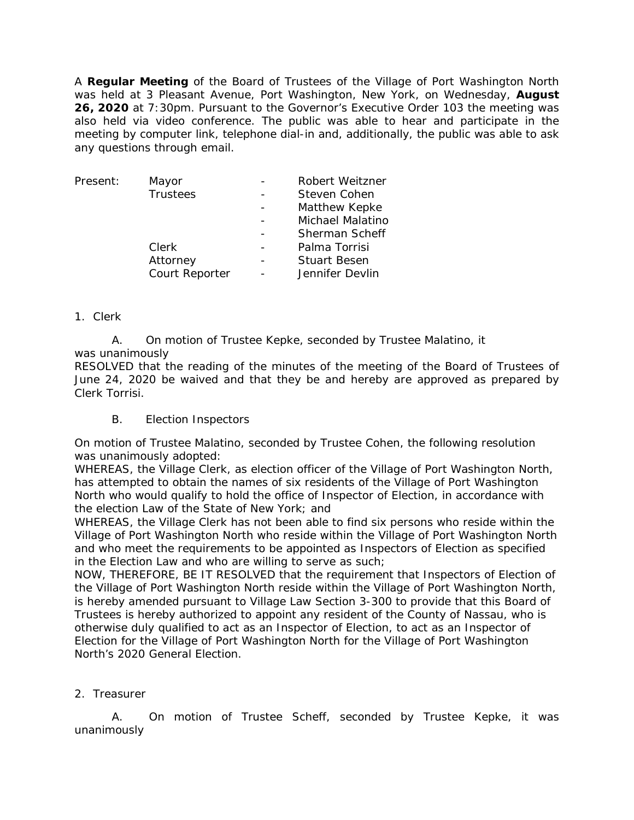A **Regular Meeting** of the Board of Trustees of the Village of Port Washington North was held at 3 Pleasant Avenue, Port Washington, New York, on Wednesday, **August 26, 2020** at 7:30pm. Pursuant to the Governor's Executive Order 103 the meeting was also held via video conference. The public was able to hear and participate in the meeting by computer link, telephone dial-in and, additionally, the public was able to ask any questions through email.

| Present: | Mayor           | Robert Weitzner       |
|----------|-----------------|-----------------------|
|          | <b>Trustees</b> | Steven Cohen          |
|          |                 | Matthew Kepke         |
|          |                 | Michael Malatino      |
|          |                 | <b>Sherman Scheff</b> |
|          | Clerk           | Palma Torrisi         |
|          | Attorney        | <b>Stuart Besen</b>   |
|          | Court Reporter  | Jennifer Devlin       |
|          |                 |                       |

# 1. Clerk

A. On motion of Trustee Kepke, seconded by Trustee Malatino, it was unanimously

RESOLVED that the reading of the minutes of the meeting of the Board of Trustees of June 24, 2020 be waived and that they be and hereby are approved as prepared by Clerk Torrisi.

B. Election Inspectors

On motion of Trustee Malatino, seconded by Trustee Cohen, the following resolution was unanimously adopted:

WHEREAS, the Village Clerk, as election officer of the Village of Port Washington North, has attempted to obtain the names of six residents of the Village of Port Washington North who would qualify to hold the office of Inspector of Election, in accordance with the election Law of the State of New York; and

WHEREAS, the Village Clerk has not been able to find six persons who reside within the Village of Port Washington North who reside within the Village of Port Washington North and who meet the requirements to be appointed as Inspectors of Election as specified in the Election Law and who are willing to serve as such;

NOW, THEREFORE, BE IT RESOLVED that the requirement that Inspectors of Election of the Village of Port Washington North reside within the Village of Port Washington North, is hereby amended pursuant to Village Law Section 3-300 to provide that this Board of Trustees is hereby authorized to appoint any resident of the County of Nassau, who is otherwise duly qualified to act as an Inspector of Election, to act as an Inspector of Election for the Village of Port Washington North for the Village of Port Washington North's 2020 General Election.

# 2. Treasurer

A. On motion of Trustee Scheff, seconded by Trustee Kepke, it was unanimously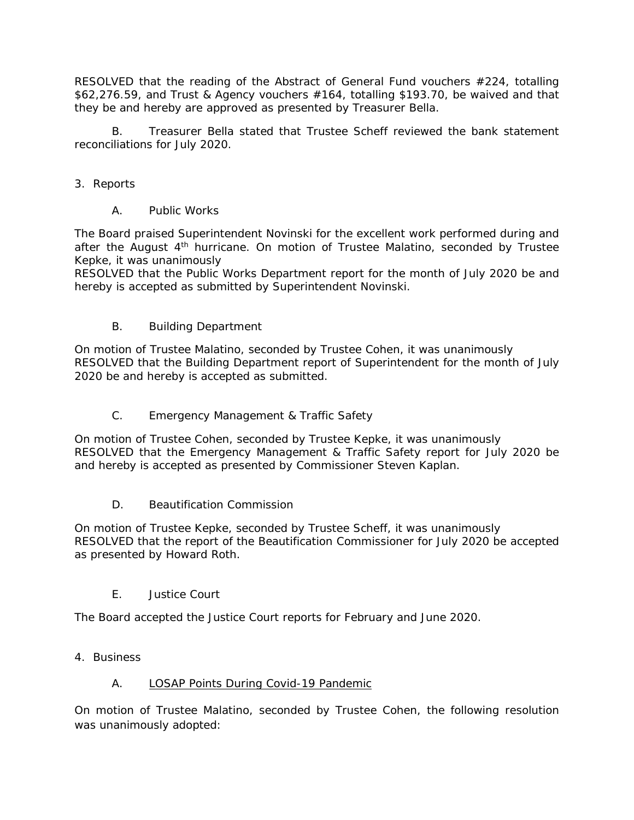RESOLVED that the reading of the Abstract of General Fund vouchers #224, totalling \$62,276.59, and Trust & Agency vouchers #164, totalling \$193.70, be waived and that they be and hereby are approved as presented by Treasurer Bella.

B. Treasurer Bella stated that Trustee Scheff reviewed the bank statement reconciliations for July 2020.

- 3. Reports
	- A. Public Works

The Board praised Superintendent Novinski for the excellent work performed during and after the August 4<sup>th</sup> hurricane. On motion of Trustee Malatino, seconded by Trustee Kepke, it was unanimously

RESOLVED that the Public Works Department report for the month of July 2020 be and hereby is accepted as submitted by Superintendent Novinski.

B. Building Department

On motion of Trustee Malatino, seconded by Trustee Cohen, it was unanimously RESOLVED that the Building Department report of Superintendent for the month of July 2020 be and hereby is accepted as submitted.

C. Emergency Management & Traffic Safety

On motion of Trustee Cohen, seconded by Trustee Kepke, it was unanimously RESOLVED that the Emergency Management & Traffic Safety report for July 2020 be and hereby is accepted as presented by Commissioner Steven Kaplan.

D. Beautification Commission

On motion of Trustee Kepke, seconded by Trustee Scheff, it was unanimously RESOLVED that the report of the Beautification Commissioner for July 2020 be accepted as presented by Howard Roth.

E. Justice Court

The Board accepted the Justice Court reports for February and June 2020.

4. Business

# A. LOSAP Points During Covid-19 Pandemic

On motion of Trustee Malatino, seconded by Trustee Cohen, the following resolution was unanimously adopted: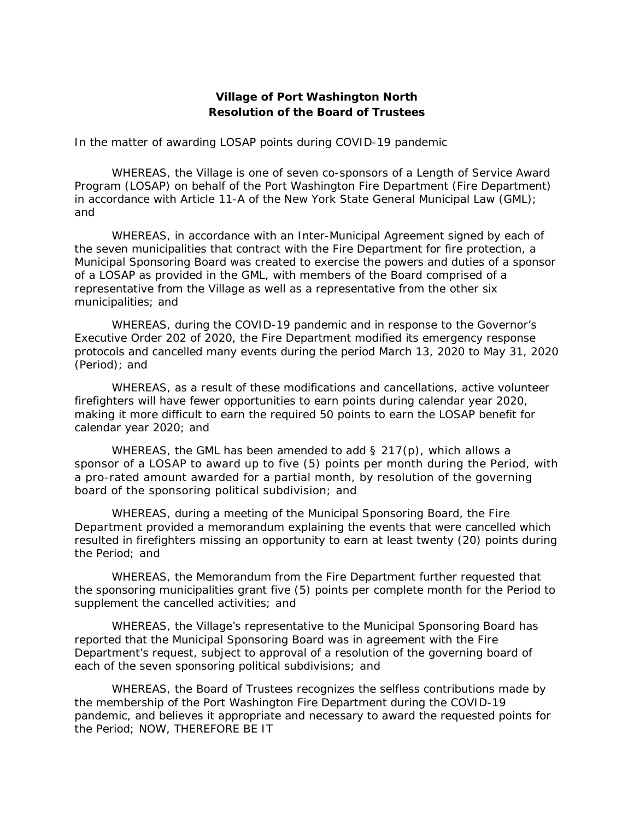### **Village of Port Washington North Resolution of the Board of Trustees**

#### *In the matter of awarding LOSAP points during COVID-19 pandemic*

WHEREAS, the Village is one of seven co-sponsors of a Length of Service Award Program (LOSAP) on behalf of the Port Washington Fire Department (Fire Department) in accordance with Article 11-A of the New York State General Municipal Law (GML); and

WHEREAS, in accordance with an Inter-Municipal Agreement signed by each of the seven municipalities that contract with the Fire Department for fire protection, a Municipal Sponsoring Board was created to exercise the powers and duties of a sponsor of a LOSAP as provided in the GML, with members of the Board comprised of a representative from the Village as well as a representative from the other six municipalities; and

WHEREAS, during the COVID-19 pandemic and in response to the Governor's Executive Order 202 of 2020, the Fire Department modified its emergency response protocols and cancelled many events during the period March 13, 2020 to May 31, 2020 (Period); and

WHEREAS, as a result of these modifications and cancellations, active volunteer firefighters will have fewer opportunities to earn points during calendar year 2020, making it more difficult to earn the required 50 points to earn the LOSAP benefit for calendar year 2020; and

WHEREAS, the GML has been amended to add  $\S$  217(p), which allows a sponsor of a LOSAP to award up to five (5) points per month during the Period, with a pro-rated amount awarded for a partial month, by resolution of the governing board of the sponsoring political subdivision; and

WHEREAS, during a meeting of the Municipal Sponsoring Board, the Fire Department provided a memorandum explaining the events that were cancelled which resulted in firefighters missing an opportunity to earn at least twenty (20) points during the Period; and

WHEREAS, the Memorandum from the Fire Department further requested that the sponsoring municipalities grant five (5) points per complete month for the Period to supplement the cancelled activities; and

WHEREAS, the Village's representative to the Municipal Sponsoring Board has reported that the Municipal Sponsoring Board was in agreement with the Fire Department's request, subject to approval of a resolution of the governing board of each of the seven sponsoring political subdivisions; and

WHEREAS, the Board of Trustees recognizes the selfless contributions made by the membership of the Port Washington Fire Department during the COVID-19 pandemic, and believes it appropriate and necessary to award the requested points for the Period; NOW, THEREFORE BE IT